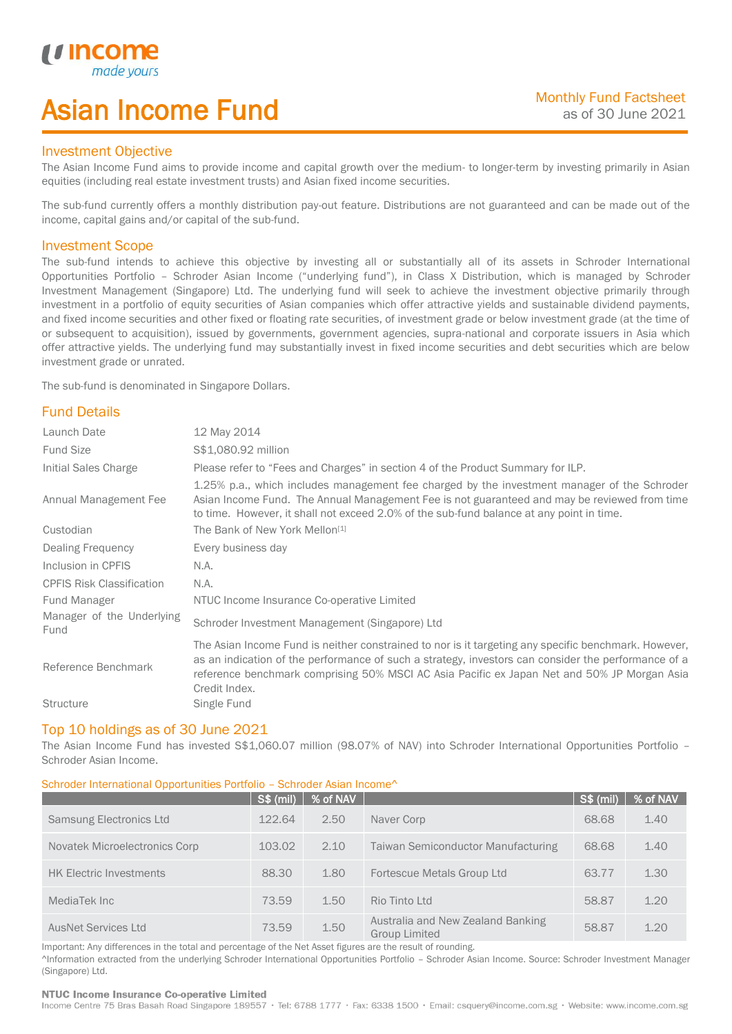# Asian Income Fund

### Investment Objective

*u* incor

I

The Asian Income Fund aims to provide income and capital growth over the medium- to longer-term by investing primarily in Asian equities (including real estate investment trusts) and Asian fixed income securities.

The sub-fund currently offers a monthly distribution pay-out feature. Distributions are not guaranteed and can be made out of the income, capital gains and/or capital of the sub-fund.

### Investment Scope

The sub-fund intends to achieve this objective by investing all or substantially all of its assets in Schroder International Opportunities Portfolio – Schroder Asian Income ("underlying fund"), in Class X Distribution, which is managed by Schroder Investment Management (Singapore) Ltd. The underlying fund will seek to achieve the investment objective primarily through investment in a portfolio of equity securities of Asian companies which offer attractive yields and sustainable dividend payments, and fixed income securities and other fixed or floating rate securities, of investment grade or below investment grade (at the time of or subsequent to acquisition), issued by governments, government agencies, supra-national and corporate issuers in Asia which offer attractive yields. The underlying fund may substantially invest in fixed income securities and debt securities which are below investment grade or unrated.

The sub-fund is denominated in Singapore Dollars.

## Fund Details

| Launch Date                       | 12 May 2014                                                                                                                                                                                                                                                                                                                 |
|-----------------------------------|-----------------------------------------------------------------------------------------------------------------------------------------------------------------------------------------------------------------------------------------------------------------------------------------------------------------------------|
| <b>Fund Size</b>                  | \$\$1,080.92 million                                                                                                                                                                                                                                                                                                        |
| Initial Sales Charge              | Please refer to "Fees and Charges" in section 4 of the Product Summary for ILP.                                                                                                                                                                                                                                             |
| Annual Management Fee             | 1.25% p.a., which includes management fee charged by the investment manager of the Schroder<br>Asian Income Fund. The Annual Management Fee is not guaranteed and may be reviewed from time<br>to time. However, it shall not exceed 2.0% of the sub-fund balance at any point in time.                                     |
| Custodian                         | The Bank of New York Mellon <sup>[1]</sup>                                                                                                                                                                                                                                                                                  |
| Dealing Frequency                 | Every business day                                                                                                                                                                                                                                                                                                          |
| Inclusion in CPFIS                | N.A.                                                                                                                                                                                                                                                                                                                        |
| <b>CPFIS Risk Classification</b>  | N.A.                                                                                                                                                                                                                                                                                                                        |
| <b>Fund Manager</b>               | NTUC Income Insurance Co-operative Limited                                                                                                                                                                                                                                                                                  |
| Manager of the Underlying<br>Fund | Schroder Investment Management (Singapore) Ltd                                                                                                                                                                                                                                                                              |
| Reference Benchmark               | The Asian Income Fund is neither constrained to nor is it targeting any specific benchmark. However,<br>as an indication of the performance of such a strategy, investors can consider the performance of a<br>reference benchmark comprising 50% MSCI AC Asia Pacific ex Japan Net and 50% JP Morgan Asia<br>Credit Index. |
| <b>Structure</b>                  | Single Fund                                                                                                                                                                                                                                                                                                                 |

#### Top 10 holdings as of 30 June 2021

The Asian Income Fund has invested S\$1,060.07 million (98.07% of NAV) into Schroder International Opportunities Portfolio – Schroder Asian Income.

#### Schroder International Opportunities Portfolio – Schroder Asian Income^

|                                | <b>S\$ (mil)</b> | % of NAV |                                                           | S\$ (mil) | % of NAV |
|--------------------------------|------------------|----------|-----------------------------------------------------------|-----------|----------|
| <b>Samsung Electronics Ltd</b> | 122.64           | 2.50     | Naver Corp                                                | 68.68     | 1.40     |
| Novatek Microelectronics Corp  | 103.02           | 2.10     | <b>Taiwan Semiconductor Manufacturing</b>                 | 68.68     | 1.40     |
| <b>HK Electric Investments</b> | 88.30            | 1.80     | Fortescue Metals Group Ltd                                | 63.77     | 1.30     |
| MediaTek Inc                   | 73.59            | 1.50     | Rio Tinto Ltd                                             | 58.87     | 1.20     |
| <b>AusNet Services Ltd</b>     | 73.59            | 1.50     | Australia and New Zealand Banking<br><b>Group Limited</b> | 58.87     | 1.20     |

Important: Any differences in the total and percentage of the Net Asset figures are the result of rounding. ^Information extracted from the underlying Schroder International Opportunities Portfolio – Schroder Asian Income. Source: Schroder Investment Manager (Singapore) Ltd.

#### NTUC Income Insurance Co-operative Limited

Income Centre 75 Bras Basah Road Singapore 189557 · Tel: 6788 1777 · Fax: 6338 1500 · Email: csquery@income.com.sg · Website: www.income.com.sg